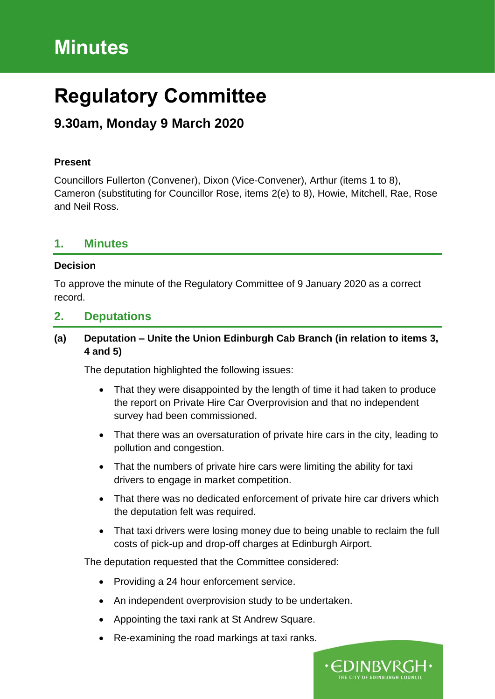# **Minutes**

# **Regulatory Committee**

# **9.30am, Monday 9 March 2020**

#### **Present**

Councillors Fullerton (Convener), Dixon (Vice-Convener), Arthur (items 1 to 8), Cameron (substituting for Councillor Rose, items 2(e) to 8), Howie, Mitchell, Rae, Rose and Neil Ross.

## **1. Minutes**

#### **Decision**

To approve the minute of the Regulatory Committee of 9 January 2020 as a correct record.

# **2. Deputations**

## **(a) Deputation – Unite the Union Edinburgh Cab Branch (in relation to items 3, 4 and 5)**

The deputation highlighted the following issues:

- That they were disappointed by the length of time it had taken to produce the report on Private Hire Car Overprovision and that no independent survey had been commissioned.
- That there was an oversaturation of private hire cars in the city, leading to pollution and congestion.
- That the numbers of private hire cars were limiting the ability for taxi drivers to engage in market competition.
- That there was no dedicated enforcement of private hire car drivers which the deputation felt was required.
- That taxi drivers were losing money due to being unable to reclaim the full costs of pick-up and drop-off charges at Edinburgh Airport.

The deputation requested that the Committee considered:

- Providing a 24 hour enforcement service.
- An independent overprovision study to be undertaken.
- Appointing the taxi rank at St Andrew Square.
- Re-examining the road markings at taxi ranks.

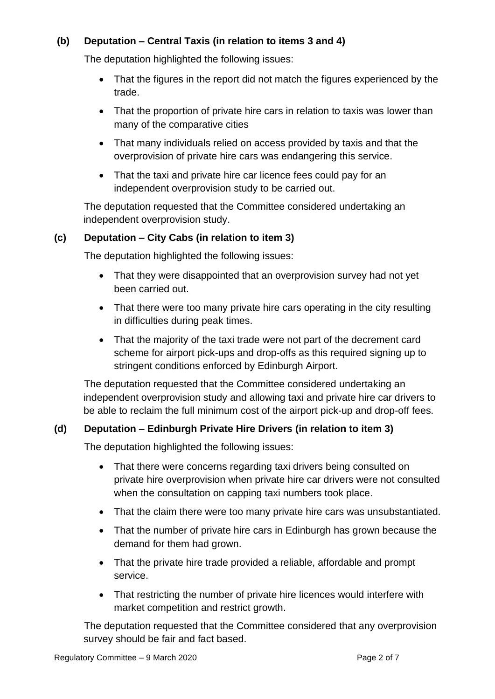## **(b) Deputation – Central Taxis (in relation to items 3 and 4)**

The deputation highlighted the following issues:

- That the figures in the report did not match the figures experienced by the trade.
- That the proportion of private hire cars in relation to taxis was lower than many of the comparative cities
- That many individuals relied on access provided by taxis and that the overprovision of private hire cars was endangering this service.
- That the taxi and private hire car licence fees could pay for an independent overprovision study to be carried out.

The deputation requested that the Committee considered undertaking an independent overprovision study.

## **(c) Deputation – City Cabs (in relation to item 3)**

The deputation highlighted the following issues:

- That they were disappointed that an overprovision survey had not yet been carried out.
- That there were too many private hire cars operating in the city resulting in difficulties during peak times.
- That the majority of the taxi trade were not part of the decrement card scheme for airport pick-ups and drop-offs as this required signing up to stringent conditions enforced by Edinburgh Airport.

The deputation requested that the Committee considered undertaking an independent overprovision study and allowing taxi and private hire car drivers to be able to reclaim the full minimum cost of the airport pick-up and drop-off fees.

# **(d) Deputation – Edinburgh Private Hire Drivers (in relation to item 3)**

The deputation highlighted the following issues:

- That there were concerns regarding taxi drivers being consulted on private hire overprovision when private hire car drivers were not consulted when the consultation on capping taxi numbers took place.
- That the claim there were too many private hire cars was unsubstantiated.
- That the number of private hire cars in Edinburgh has grown because the demand for them had grown.
- That the private hire trade provided a reliable, affordable and prompt service.
- That restricting the number of private hire licences would interfere with market competition and restrict growth.

The deputation requested that the Committee considered that any overprovision survey should be fair and fact based.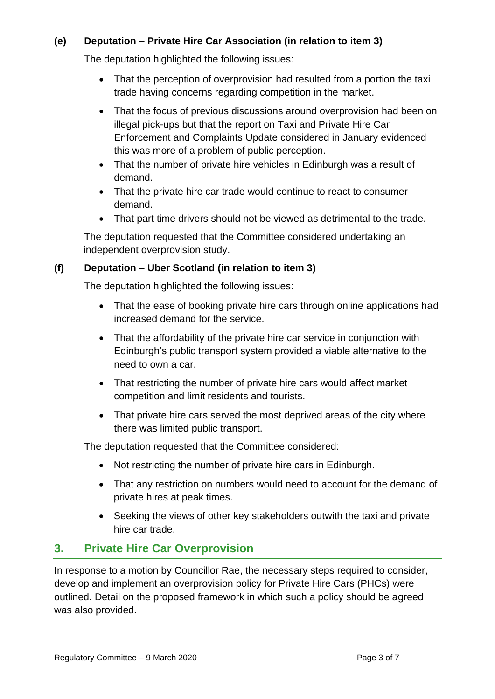# **(e) Deputation – Private Hire Car Association (in relation to item 3)**

The deputation highlighted the following issues:

- That the perception of overprovision had resulted from a portion the taxi trade having concerns regarding competition in the market.
- That the focus of previous discussions around overprovision had been on illegal pick-ups but that the report on Taxi and Private Hire Car Enforcement and Complaints Update considered in January evidenced this was more of a problem of public perception.
- That the number of private hire vehicles in Edinburgh was a result of demand.
- That the private hire car trade would continue to react to consumer demand.
- That part time drivers should not be viewed as detrimental to the trade.

The deputation requested that the Committee considered undertaking an independent overprovision study.

## **(f) Deputation – Uber Scotland (in relation to item 3)**

The deputation highlighted the following issues:

- That the ease of booking private hire cars through online applications had increased demand for the service.
- That the affordability of the private hire car service in conjunction with Edinburgh's public transport system provided a viable alternative to the need to own a car.
- That restricting the number of private hire cars would affect market competition and limit residents and tourists.
- That private hire cars served the most deprived areas of the city where there was limited public transport.

The deputation requested that the Committee considered:

- Not restricting the number of private hire cars in Edinburgh.
- That any restriction on numbers would need to account for the demand of private hires at peak times.
- Seeking the views of other key stakeholders outwith the taxi and private hire car trade.

# **3. Private Hire Car Overprovision**

In response to a motion by Councillor Rae, the necessary steps required to consider, develop and implement an overprovision policy for Private Hire Cars (PHCs) were outlined. Detail on the proposed framework in which such a policy should be agreed was also provided.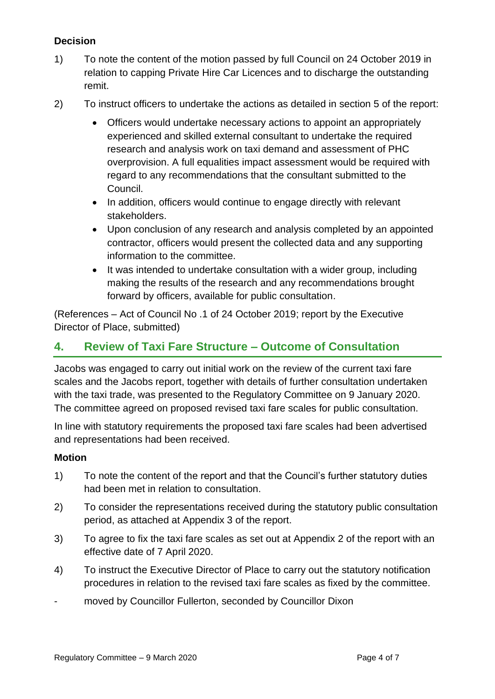# **Decision**

- 1) To note the content of the motion passed by full Council on 24 October 2019 in relation to capping Private Hire Car Licences and to discharge the outstanding remit.
- 2) To instruct officers to undertake the actions as detailed in section 5 of the report:
	- Officers would undertake necessary actions to appoint an appropriately experienced and skilled external consultant to undertake the required research and analysis work on taxi demand and assessment of PHC overprovision. A full equalities impact assessment would be required with regard to any recommendations that the consultant submitted to the Council.
	- In addition, officers would continue to engage directly with relevant stakeholders.
	- Upon conclusion of any research and analysis completed by an appointed contractor, officers would present the collected data and any supporting information to the committee.
	- It was intended to undertake consultation with a wider group, including making the results of the research and any recommendations brought forward by officers, available for public consultation.

(References – Act of Council No .1 of 24 October 2019; report by the Executive Director of Place, submitted)

# **4. Review of Taxi Fare Structure – Outcome of Consultation**

Jacobs was engaged to carry out initial work on the review of the current taxi fare scales and the Jacobs report, together with details of further consultation undertaken with the taxi trade, was presented to the Regulatory Committee on 9 January 2020. The committee agreed on proposed revised taxi fare scales for public consultation.

In line with statutory requirements the proposed taxi fare scales had been advertised and representations had been received.

#### **Motion**

- 1) To note the content of the report and that the Council's further statutory duties had been met in relation to consultation.
- 2) To consider the representations received during the statutory public consultation period, as attached at Appendix 3 of the report.
- 3) To agree to fix the taxi fare scales as set out at Appendix 2 of the report with an effective date of 7 April 2020.
- 4) To instruct the Executive Director of Place to carry out the statutory notification procedures in relation to the revised taxi fare scales as fixed by the committee.
- moved by Councillor Fullerton, seconded by Councillor Dixon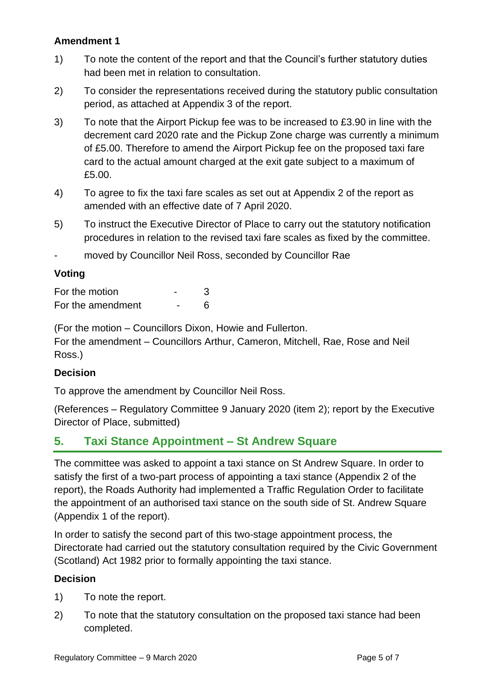#### **Amendment 1**

- 1) To note the content of the report and that the Council's further statutory duties had been met in relation to consultation.
- 2) To consider the representations received during the statutory public consultation period, as attached at Appendix 3 of the report.
- 3) To note that the Airport Pickup fee was to be increased to £3.90 in line with the decrement card 2020 rate and the Pickup Zone charge was currently a minimum of £5.00. Therefore to amend the Airport Pickup fee on the proposed taxi fare card to the actual amount charged at the exit gate subject to a maximum of £5.00.
- 4) To agree to fix the taxi fare scales as set out at Appendix 2 of the report as amended with an effective date of 7 April 2020.
- 5) To instruct the Executive Director of Place to carry out the statutory notification procedures in relation to the revised taxi fare scales as fixed by the committee.
- moved by Councillor Neil Ross, seconded by Councillor Rae

# **Voting**

| For the motion    |  |
|-------------------|--|
| For the amendment |  |

(For the motion – Councillors Dixon, Howie and Fullerton.

For the amendment – Councillors Arthur, Cameron, Mitchell, Rae, Rose and Neil Ross.)

#### **Decision**

To approve the amendment by Councillor Neil Ross.

(References – Regulatory Committee 9 January 2020 (item 2); report by the Executive Director of Place, submitted)

# **5. Taxi Stance Appointment – St Andrew Square**

The committee was asked to appoint a taxi stance on St Andrew Square. In order to satisfy the first of a two-part process of appointing a taxi stance (Appendix 2 of the report), the Roads Authority had implemented a Traffic Regulation Order to facilitate the appointment of an authorised taxi stance on the south side of St. Andrew Square (Appendix 1 of the report).

In order to satisfy the second part of this two-stage appointment process, the Directorate had carried out the statutory consultation required by the Civic Government (Scotland) Act 1982 prior to formally appointing the taxi stance.

# **Decision**

- 1) To note the report.
- 2) To note that the statutory consultation on the proposed taxi stance had been completed.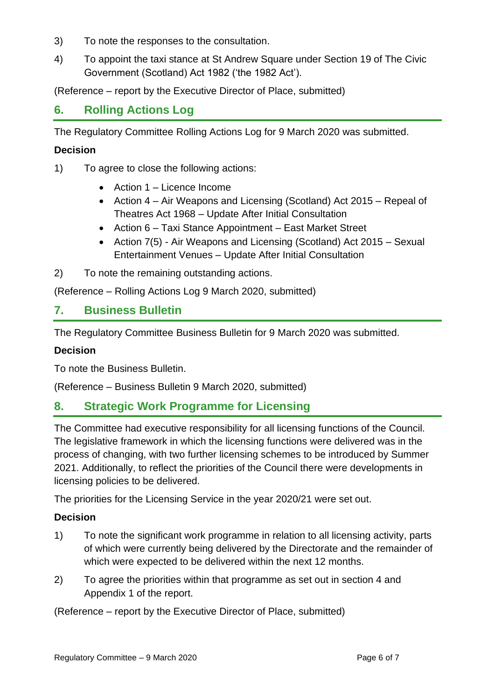- 3) To note the responses to the consultation.
- 4) To appoint the taxi stance at St Andrew Square under Section 19 of The Civic Government (Scotland) Act 1982 ('the 1982 Act').

(Reference – report by the Executive Director of Place, submitted)

# **6. Rolling Actions Log**

The Regulatory Committee Rolling Actions Log for 9 March 2020 was submitted.

#### **Decision**

- 1) To agree to close the following actions:
	- Action 1 Licence Income
	- Action 4 Air Weapons and Licensing (Scotland) Act 2015 Repeal of Theatres Act 1968 – Update After Initial Consultation
	- Action 6 Taxi Stance Appointment East Market Street
	- Action 7(5) Air Weapons and Licensing (Scotland) Act 2015 Sexual Entertainment Venues – Update After Initial Consultation
- 2) To note the remaining outstanding actions.

(Reference – Rolling Actions Log 9 March 2020, submitted)

## **7. Business Bulletin**

The Regulatory Committee Business Bulletin for 9 March 2020 was submitted.

#### **Decision**

To note the Business Bulletin.

(Reference – Business Bulletin 9 March 2020, submitted)

# **8. Strategic Work Programme for Licensing**

The Committee had executive responsibility for all licensing functions of the Council. The legislative framework in which the licensing functions were delivered was in the process of changing, with two further licensing schemes to be introduced by Summer 2021. Additionally, to reflect the priorities of the Council there were developments in licensing policies to be delivered.

The priorities for the Licensing Service in the year 2020/21 were set out.

#### **Decision**

- 1) To note the significant work programme in relation to all licensing activity, parts of which were currently being delivered by the Directorate and the remainder of which were expected to be delivered within the next 12 months.
- 2) To agree the priorities within that programme as set out in section 4 and Appendix 1 of the report.

(Reference – report by the Executive Director of Place, submitted)